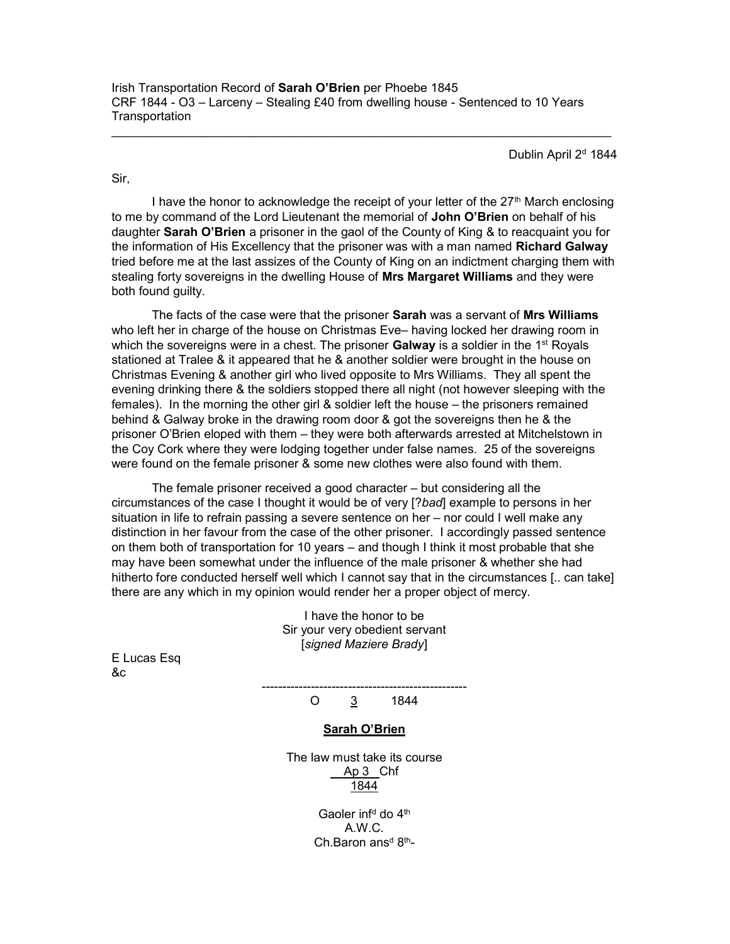Irish Transportation Record of Sarah O'Brien per Phoebe 1845 CRF 1844 - O3 – Larceny – Stealing £40 from dwelling house - Sentenced to 10 Years **Transportation** 

Dublin April 2<sup>d</sup> 1844

Sir,

I have the honor to acknowledge the receipt of your letter of the  $27<sup>th</sup>$  March enclosing to me by command of the Lord Lieutenant the memorial of John O'Brien on behalf of his daughter Sarah O'Brien a prisoner in the gaol of the County of King & to reacquaint you for the information of His Excellency that the prisoner was with a man named Richard Galway tried before me at the last assizes of the County of King on an indictment charging them with stealing forty sovereigns in the dwelling House of Mrs Margaret Williams and they were both found guilty.

The facts of the case were that the prisoner Sarah was a servant of Mrs Williams who left her in charge of the house on Christmas Eve– having locked her drawing room in which the sovereigns were in a chest. The prisoner **Galway** is a soldier in the  $1<sup>st</sup>$  Royals stationed at Tralee & it appeared that he & another soldier were brought in the house on Christmas Evening & another girl who lived opposite to Mrs Williams. They all spent the evening drinking there & the soldiers stopped there all night (not however sleeping with the females). In the morning the other girl & soldier left the house – the prisoners remained behind & Galway broke in the drawing room door & got the sovereigns then he & the prisoner O'Brien eloped with them – they were both afterwards arrested at Mitchelstown in the Coy Cork where they were lodging together under false names. 25 of the sovereigns were found on the female prisoner & some new clothes were also found with them.

 The female prisoner received a good character – but considering all the circumstances of the case I thought it would be of very [?bad] example to persons in her situation in life to refrain passing a severe sentence on her – nor could I well make any distinction in her favour from the case of the other prisoner. I accordingly passed sentence on them both of transportation for 10 years – and though I think it most probable that she may have been somewhat under the influence of the male prisoner & whether she had hitherto fore conducted herself well which I cannot say that in the circumstances [.. can take] there are any which in my opinion would render her a proper object of mercy.

> I have the honor to be Sir your very obedient servant [signed Maziere Brady]

E Lucas Esq &c

> -------------------------------------------------- O  $\frac{3}{5}$  1844

## Sarah O'Brien

The law must take its course Ap 3 Chf 1844

> Gaoler inf<sup>d</sup> do 4<sup>th</sup> A.W.C. Ch.Baron ans<sup>d 8th</sup>-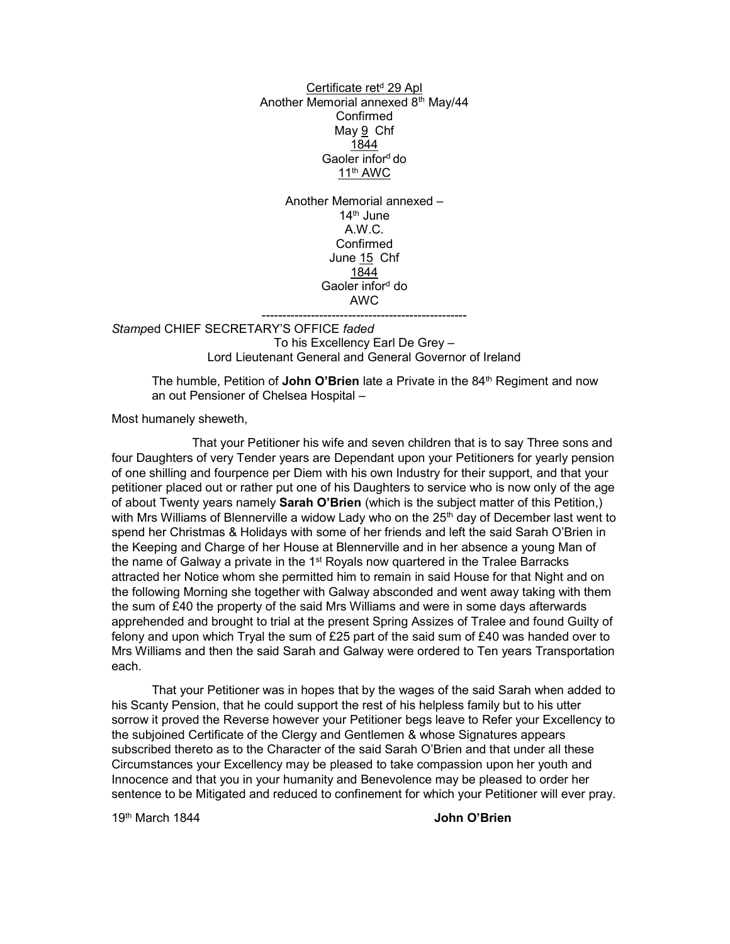Certificate ret<sup>d</sup> 29 Apl Another Memorial annexed 8<sup>th</sup> May/44 Confirmed May 9 Chf 1844 Gaoler inford do 11th AWC

> Another Memorial annexed –  $14<sup>th</sup>$  June A.W.C. Confirmed June 15 Chf 1844 Gaoler infor<sup>d</sup> do AWC

-------------------------------------------------- Stamped CHIEF SECRETARY'S OFFICE faded To his Excellency Earl De Grey – Lord Lieutenant General and General Governor of Ireland

The humble, Petition of John O'Brien late a Private in the  $84<sup>th</sup>$  Regiment and now an out Pensioner of Chelsea Hospital –

Most humanely sheweth,

 That your Petitioner his wife and seven children that is to say Three sons and four Daughters of very Tender years are Dependant upon your Petitioners for yearly pension of one shilling and fourpence per Diem with his own Industry for their support, and that your petitioner placed out or rather put one of his Daughters to service who is now only of the age of about Twenty years namely **Sarah O'Brien** (which is the subject matter of this Petition,) with Mrs Williams of Blennerville a widow Lady who on the 25<sup>th</sup> day of December last went to spend her Christmas & Holidays with some of her friends and left the said Sarah O'Brien in the Keeping and Charge of her House at Blennerville and in her absence a young Man of the name of Galway a private in the  $1<sup>st</sup>$  Royals now quartered in the Tralee Barracks attracted her Notice whom she permitted him to remain in said House for that Night and on the following Morning she together with Galway absconded and went away taking with them the sum of £40 the property of the said Mrs Williams and were in some days afterwards apprehended and brought to trial at the present Spring Assizes of Tralee and found Guilty of felony and upon which Tryal the sum of £25 part of the said sum of £40 was handed over to Mrs Williams and then the said Sarah and Galway were ordered to Ten years Transportation each.

 That your Petitioner was in hopes that by the wages of the said Sarah when added to his Scanty Pension, that he could support the rest of his helpless family but to his utter sorrow it proved the Reverse however your Petitioner begs leave to Refer your Excellency to the subjoined Certificate of the Clergy and Gentlemen & whose Signatures appears subscribed thereto as to the Character of the said Sarah O'Brien and that under all these Circumstances your Excellency may be pleased to take compassion upon her youth and Innocence and that you in your humanity and Benevolence may be pleased to order her sentence to be Mitigated and reduced to confinement for which your Petitioner will ever pray.

19<sup>th</sup> March 1844 **John O'Brien**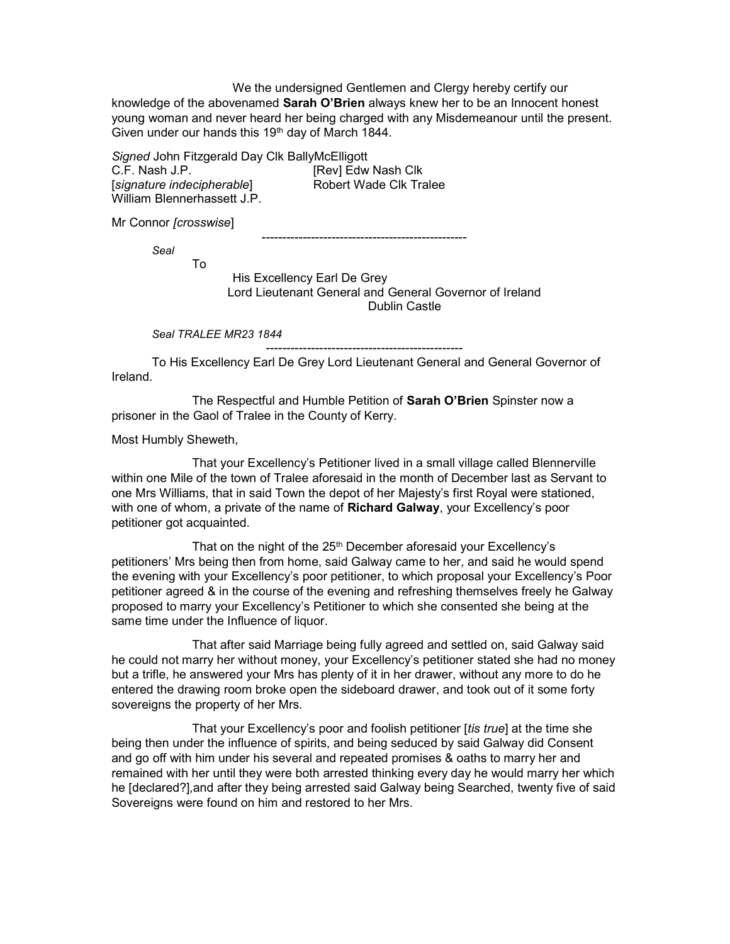We the undersigned Gentlemen and Clergy hereby certify our knowledge of the abovenamed Sarah O'Brien always knew her to be an Innocent honest young woman and never heard her being charged with any Misdemeanour until the present. Given under our hands this 19th day of March 1844.

Signed John Fitzgerald Day Clk BallyMcElligott C.F. Nash J.P. [Rev] Edw Nash Clk [signature indecipherable] Robert Wade Clk Tralee William Blennerhassett J.P.

Mr Connor [crosswise]

--------------------------------------------------

Seal

To

 His Excellency Earl De Grey Lord Lieutenant General and General Governor of Ireland Dublin Castle

Seal TRALEE MR23 1844

------------------------------------------------

 To His Excellency Earl De Grey Lord Lieutenant General and General Governor of Ireland.

The Respectful and Humble Petition of Sarah O'Brien Spinster now a prisoner in the Gaol of Tralee in the County of Kerry.

Most Humbly Sheweth,

 That your Excellency's Petitioner lived in a small village called Blennerville within one Mile of the town of Tralee aforesaid in the month of December last as Servant to one Mrs Williams, that in said Town the depot of her Majesty's first Royal were stationed, with one of whom, a private of the name of **Richard Galway**, your Excellency's poor petitioner got acquainted.

That on the night of the 25<sup>th</sup> December aforesaid your Excellency's petitioners' Mrs being then from home, said Galway came to her, and said he would spend the evening with your Excellency's poor petitioner, to which proposal your Excellency's Poor petitioner agreed & in the course of the evening and refreshing themselves freely he Galway proposed to marry your Excellency's Petitioner to which she consented she being at the same time under the Influence of liquor.

 That after said Marriage being fully agreed and settled on, said Galway said he could not marry her without money, your Excellency's petitioner stated she had no money but a trifle, he answered your Mrs has plenty of it in her drawer, without any more to do he entered the drawing room broke open the sideboard drawer, and took out of it some forty sovereigns the property of her Mrs.

That your Excellency's poor and foolish petitioner [tis true] at the time she being then under the influence of spirits, and being seduced by said Galway did Consent and go off with him under his several and repeated promises & oaths to marry her and remained with her until they were both arrested thinking every day he would marry her which he [declared?],and after they being arrested said Galway being Searched, twenty five of said Sovereigns were found on him and restored to her Mrs.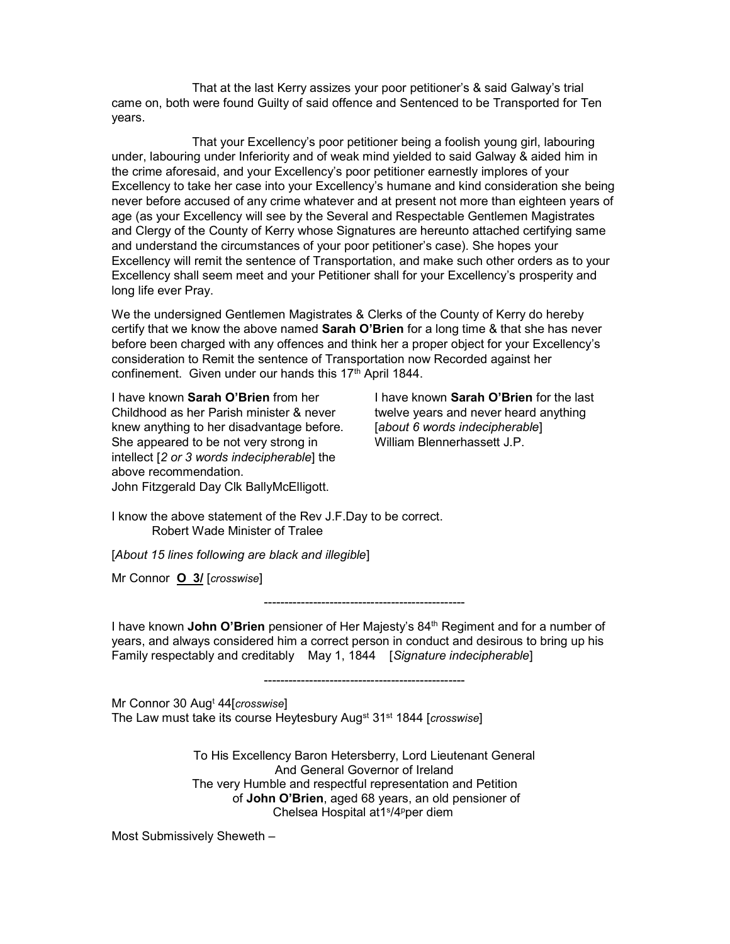That at the last Kerry assizes your poor petitioner's & said Galway's trial came on, both were found Guilty of said offence and Sentenced to be Transported for Ten years.

 That your Excellency's poor petitioner being a foolish young girl, labouring under, labouring under Inferiority and of weak mind yielded to said Galway & aided him in the crime aforesaid, and your Excellency's poor petitioner earnestly implores of your Excellency to take her case into your Excellency's humane and kind consideration she being never before accused of any crime whatever and at present not more than eighteen years of age (as your Excellency will see by the Several and Respectable Gentlemen Magistrates and Clergy of the County of Kerry whose Signatures are hereunto attached certifying same and understand the circumstances of your poor petitioner's case). She hopes your Excellency will remit the sentence of Transportation, and make such other orders as to your Excellency shall seem meet and your Petitioner shall for your Excellency's prosperity and long life ever Pray.

We the undersigned Gentlemen Magistrates & Clerks of the County of Kerry do hereby certify that we know the above named Sarah O'Brien for a long time & that she has never before been charged with any offences and think her a proper object for your Excellency's consideration to Remit the sentence of Transportation now Recorded against her confinement. Given under our hands this 17<sup>th</sup> April 1844.

I have known Sarah O'Brien from her Childhood as her Parish minister & never knew anything to her disadvantage before. She appeared to be not very strong in intellect [2 or 3 words indecipherable] the above recommendation. John Fitzgerald Day Clk BallyMcElligott.

I have known Sarah O'Brien for the last twelve years and never heard anything [about 6 words indecipherable] William Blennerhassett J.P.

I know the above statement of the Rev J.F.Day to be correct. Robert Wade Minister of Tralee

[About 15 lines following are black and illegible]

Mr Connor O 3/ [crosswise]

-------------------------------------------------

I have known John O'Brien pensioner of Her Majesty's 84<sup>th</sup> Regiment and for a number of years, and always considered him a correct person in conduct and desirous to bring up his Family respectably and creditably May 1, 1844 [Signature indecipherable]

-------------------------------------------------

Mr Connor 30 Aug<sup>t</sup> 44[crosswise] The Law must take its course Heytesbury Aug<sup>st</sup> 31<sup>st</sup> 1844 [crosswise]

To His Excellency Baron Hetersberry, Lord Lieutenant General And General Governor of Ireland The very Humble and respectful representation and Petition of John O'Brien, aged 68 years, an old pensioner of Chelsea Hospital at1<sup>s</sup> /4<sup>p</sup>per diem

Most Submissively Sheweth –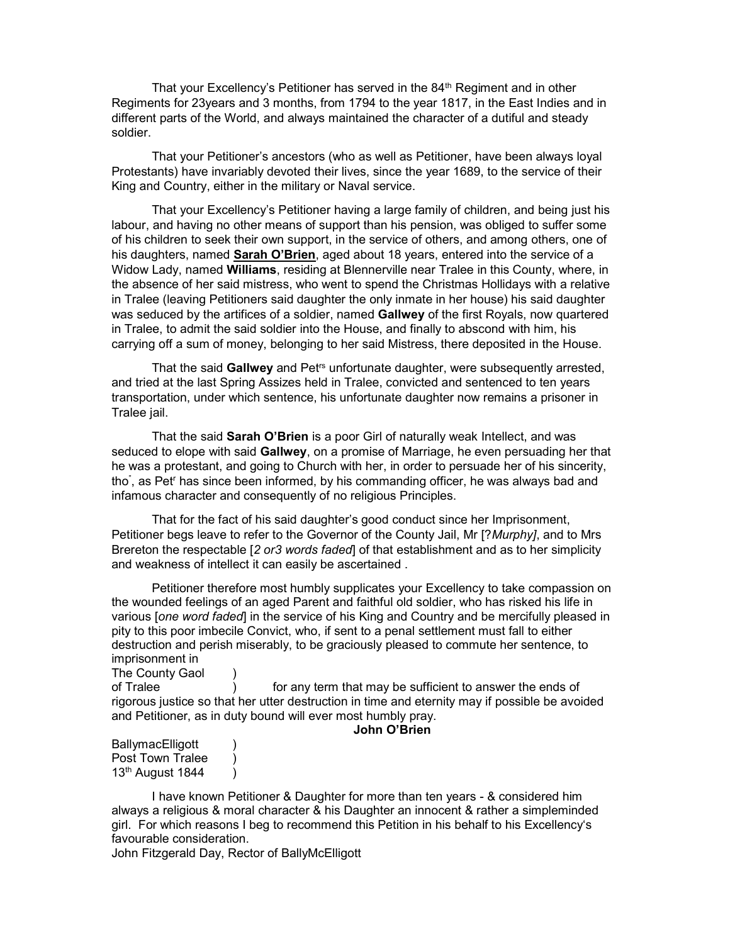That your Excellency's Petitioner has served in the  $84<sup>th</sup>$  Regiment and in other Regiments for 23years and 3 months, from 1794 to the year 1817, in the East Indies and in different parts of the World, and always maintained the character of a dutiful and steady soldier.

 That your Petitioner's ancestors (who as well as Petitioner, have been always loyal Protestants) have invariably devoted their lives, since the year 1689, to the service of their King and Country, either in the military or Naval service.

 That your Excellency's Petitioner having a large family of children, and being just his labour, and having no other means of support than his pension, was obliged to suffer some of his children to seek their own support, in the service of others, and among others, one of his daughters, named **Sarah O'Brien**, aged about 18 years, entered into the service of a Widow Lady, named Williams, residing at Blennerville near Tralee in this County, where, in the absence of her said mistress, who went to spend the Christmas Hollidays with a relative in Tralee (leaving Petitioners said daughter the only inmate in her house) his said daughter was seduced by the artifices of a soldier, named Gallwey of the first Royals, now quartered in Tralee, to admit the said soldier into the House, and finally to abscond with him, his carrying off a sum of money, belonging to her said Mistress, there deposited in the House.

That the said Gallwey and Pet<sup>rs</sup> unfortunate daughter, were subsequently arrested, and tried at the last Spring Assizes held in Tralee, convicted and sentenced to ten years transportation, under which sentence, his unfortunate daughter now remains a prisoner in Tralee jail.

That the said Sarah O'Brien is a poor Girl of naturally weak Intellect, and was seduced to elope with said Gallwey, on a promise of Marriage, he even persuading her that he was a protestant, and going to Church with her, in order to persuade her of his sincerity, tho" , as Pet<sup>r</sup> has since been informed, by his commanding officer, he was always bad and infamous character and consequently of no religious Principles.

 That for the fact of his said daughter's good conduct since her Imprisonment, Petitioner begs leave to refer to the Governor of the County Jail, Mr [? Murphy], and to Mrs Brereton the respectable [2 or3 words faded] of that establishment and as to her simplicity and weakness of intellect it can easily be ascertained .

 Petitioner therefore most humbly supplicates your Excellency to take compassion on the wounded feelings of an aged Parent and faithful old soldier, who has risked his life in various [one word faded] in the service of his King and Country and be mercifully pleased in pity to this poor imbecile Convict, who, if sent to a penal settlement must fall to either destruction and perish miserably, to be graciously pleased to commute her sentence, to imprisonment in

The County Gaol ) of Tralee ) for any term that may be sufficient to answer the ends of rigorous justice so that her utter destruction in time and eternity may if possible be avoided and Petitioner, as in duty bound will ever most humbly pray.

## John O'Brien

BallymacElligott ) Post Town Tralee )  $13<sup>th</sup>$  August 1844 )

 I have known Petitioner & Daughter for more than ten years - & considered him always a religious & moral character & his Daughter an innocent & rather a simpleminded girl. For which reasons I beg to recommend this Petition in his behalf to his Excellency's favourable consideration.

John Fitzgerald Day, Rector of BallyMcElligott